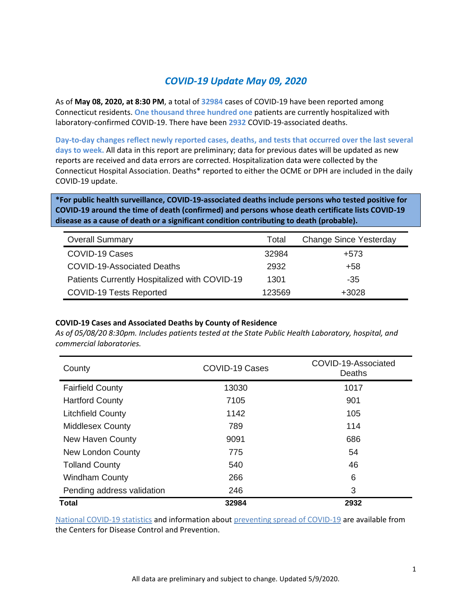### *COVID-19 Update May 09, 2020*

As of **May 08, 2020, at 8:30 PM**, a total of **32984** cases of COVID-19 have been reported among Connecticut residents. **One thousand three hundred one** patients are currently hospitalized with laboratory-confirmed COVID-19. There have been **2932** COVID-19-associated deaths.

**Day-to-day changes reflect newly reported cases, deaths, and tests that occurred over the last several days to week.** All data in this report are preliminary; data for previous dates will be updated as new reports are received and data errors are corrected. Hospitalization data were collected by the Connecticut Hospital Association. Deaths\* reported to either the OCME or DPH are included in the daily COVID-19 update.

**\*For public health surveillance, COVID-19-associated deaths include persons who tested positive for COVID-19 around the time of death (confirmed) and persons whose death certificate lists COVID-19 disease as a cause of death or a significant condition contributing to death (probable).**

| <b>Overall Summary</b>                        | Total  | <b>Change Since Yesterday</b> |
|-----------------------------------------------|--------|-------------------------------|
| COVID-19 Cases                                | 32984  | +573                          |
| <b>COVID-19-Associated Deaths</b>             | 2932   | +58                           |
| Patients Currently Hospitalized with COVID-19 | 1301   | $-35$                         |
| <b>COVID-19 Tests Reported</b>                | 123569 | +3028                         |

#### **COVID-19 Cases and Associated Deaths by County of Residence**

*As of 05/08/20 8:30pm. Includes patients tested at the State Public Health Laboratory, hospital, and commercial laboratories.*

| County                     | <b>COVID-19 Cases</b> | COVID-19-Associated<br>Deaths |  |
|----------------------------|-----------------------|-------------------------------|--|
| <b>Fairfield County</b>    | 13030                 | 1017                          |  |
| <b>Hartford County</b>     | 7105                  | 901                           |  |
| <b>Litchfield County</b>   | 1142                  | 105                           |  |
| <b>Middlesex County</b>    | 789                   | 114                           |  |
| New Haven County           | 9091                  | 686                           |  |
| <b>New London County</b>   | 775                   | 54                            |  |
| <b>Tolland County</b>      | 540                   | 46                            |  |
| <b>Windham County</b>      | 266                   | 6                             |  |
| Pending address validation | 246                   | 3                             |  |
| <b>Total</b>               | 32984                 | 2932                          |  |

[National COVID-19 statistics](https://www.cdc.gov/coronavirus/2019-ncov/cases-updates/cases-in-us.html) and information abou[t preventing spread of COVID-19](https://www.cdc.gov/coronavirus/2019-ncov/prevent-getting-sick/prevention.html) are available from the Centers for Disease Control and Prevention.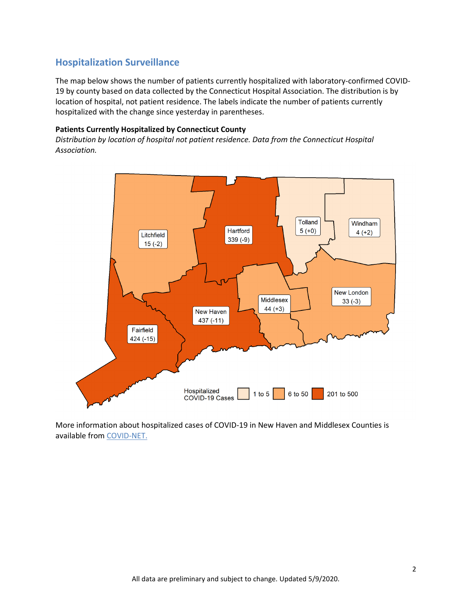## **Hospitalization Surveillance**

The map below shows the number of patients currently hospitalized with laboratory-confirmed COVID-19 by county based on data collected by the Connecticut Hospital Association. The distribution is by location of hospital, not patient residence. The labels indicate the number of patients currently hospitalized with the change since yesterday in parentheses.

#### **Patients Currently Hospitalized by Connecticut County**

*Distribution by location of hospital not patient residence. Data from the Connecticut Hospital Association.*



More information about hospitalized cases of COVID-19 in New Haven and Middlesex Counties is available from [COVID-NET.](https://gis.cdc.gov/grasp/COVIDNet/COVID19_3.html)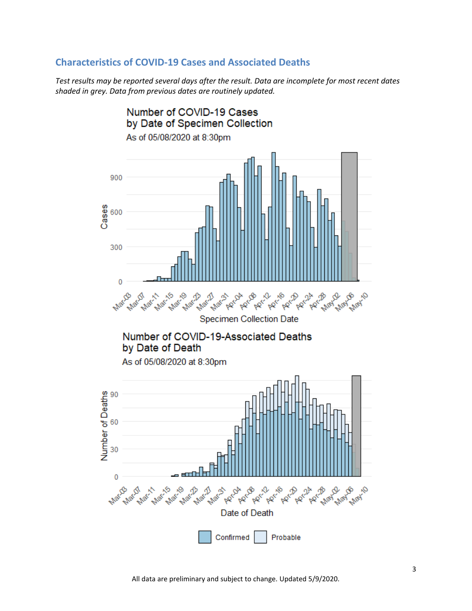### **Characteristics of COVID-19 Cases and Associated Deaths**

*Test results may be reported several days after the result. Data are incomplete for most recent dates shaded in grey. Data from previous dates are routinely updated.*

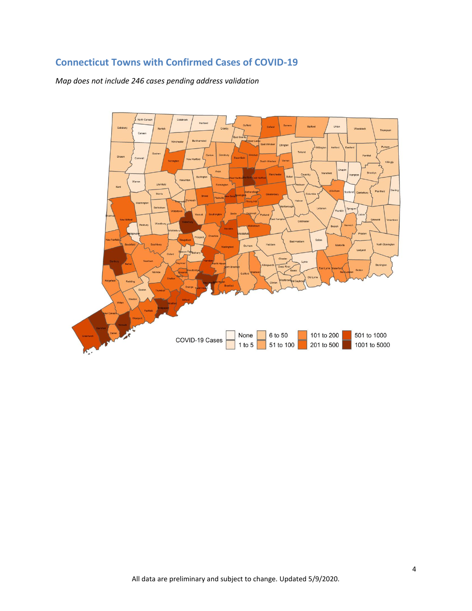# **Connecticut Towns with Confirmed Cases of COVID-19**

*Map does not include 246 cases pending address validation*

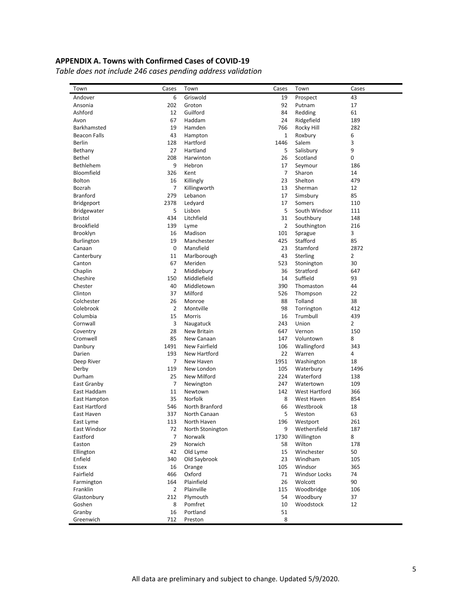#### **APPENDIX A. Towns with Confirmed Cases of COVID-19**

*Table does not include 246 cases pending address validation*

| Town                 | Cases          | Town             | Cases          | Town                 | Cases                 |
|----------------------|----------------|------------------|----------------|----------------------|-----------------------|
| Andover              | 6              | Griswold         | 19             | Prospect             | 43                    |
| Ansonia              | 202            | Groton           | 92             | Putnam               | 17                    |
| Ashford              | 12             | Guilford         | 84             | Redding              | 61                    |
| Avon                 | 67             | Haddam           | 24             | Ridgefield           | 189                   |
| Barkhamsted          | 19             | Hamden           | 766            | Rocky Hill           | 282                   |
| <b>Beacon Falls</b>  | 43             | Hampton          | $\mathbf{1}$   | Roxbury              | 6                     |
| Berlin               | 128            | Hartford         | 1446           | Salem                | 3                     |
| Bethany              | 27             | Hartland         | 5              | Salisbury            | 9                     |
| Bethel               | 208            | Harwinton        | 26             | Scotland             | 0                     |
| <b>Bethlehem</b>     | 9              | Hebron           | 17             | Seymour              | 186                   |
| Bloomfield           | 326            | Kent             | $\overline{7}$ | Sharon               | 14                    |
| <b>Bolton</b>        | 16             | Killingly        | 23             | Shelton              | 479                   |
| Bozrah               | 7              | Killingworth     | 13             | Sherman              | 12                    |
| <b>Branford</b>      | 279            | Lebanon          | 17             | Simsbury             | 85                    |
| <b>Bridgeport</b>    | 2378           | Ledyard          | 17             | Somers               | 110                   |
| <b>Bridgewater</b>   | 5              | Lisbon           | 5              | South Windsor        | 111                   |
| Bristol              | 434            | Litchfield       | 31             | Southbury            | 148                   |
| <b>Brookfield</b>    | 139            | Lyme             | $\overline{2}$ | Southington          | 216                   |
| Brooklyn             | 16             | Madison          | 101            | Sprague              | 3                     |
| <b>Burlington</b>    | 19             | Manchester       | 425            | Stafford             | 85                    |
| Canaan               | 0              | Mansfield        | 23             | Stamford             | 2872                  |
| Canterbury           | 11             | Marlborough      | 43             | <b>Sterling</b>      | $\overline{2}$        |
| Canton               | 67             | Meriden          | 523            | Stonington           | 30                    |
| Chaplin              | 2              | Middlebury       | 36             | Stratford            | 647                   |
| Cheshire             | 150            | Middlefield      | 14             | Suffield             | 93                    |
| Chester              | 40             | Middletown       | 390            | Thomaston            | 44                    |
| Clinton              | 37             | Milford          | 526            | Thompson             | 22                    |
| Colchester           | 26             | Monroe           | 88             | Tolland              | 38                    |
| Colebrook            | 2              | Montville        | 98             | Torrington           | 412                   |
|                      | 15             |                  | 16             | Trumbull             |                       |
| Columbia             |                | Morris           | 243            | Union                | 439<br>$\overline{2}$ |
| Cornwall             | 3              | Naugatuck        |                |                      |                       |
| Coventry             | 28             | New Britain      | 647            | Vernon               | 150                   |
| Cromwell             | 85             | New Canaan       | 147            | Voluntown            | 8                     |
| Danbury              | 1491           | New Fairfield    | 106            | Wallingford          | 343                   |
| Darien               | 193            | New Hartford     | 22             | Warren               | 4                     |
| Deep River           | $\overline{7}$ | New Haven        | 1951           | Washington           | 18                    |
| Derby                | 119            | New London       | 105            | Waterbury            | 1496                  |
| Durham               | 25             | New Milford      | 224            | Waterford            | 138                   |
| East Granby          | $\overline{7}$ | Newington        | 247            | Watertown            | 109                   |
| East Haddam          | 11             | Newtown          | 142            | <b>West Hartford</b> | 366                   |
| East Hampton         | 35             | <b>Norfolk</b>   | 8              | West Haven           | 854                   |
| <b>East Hartford</b> | 546            | North Branford   | 66             | Westbrook            | 18                    |
| East Haven           | 337            | North Canaan     | 5              | Weston               | 63                    |
| East Lyme            | 113            | North Haven      | 196            | Westport             | 261                   |
| East Windsor         | 72             | North Stonington | 9              | Wethersfield         | 187                   |
| Eastford             | 7              | Norwalk          | 1730           | Willington           | 8                     |
| Easton               | 29             | Norwich          | 58             | Wilton               | 178                   |
| Ellington            | 42             | Old Lyme         | 15             | Winchester           | 50                    |
| Enfield              | 340            | Old Saybrook     | 23             | Windham              | 105                   |
| Essex                | 16             | Orange           | 105            | Windsor              | 365                   |
| Fairfield            | 466            | Oxford           | 71             | <b>Windsor Locks</b> | 74                    |
| Farmington           | 164            | Plainfield       | 26             | Wolcott              | 90                    |
| Franklin             | $\overline{2}$ | Plainville       | 115            | Woodbridge           | 106                   |
| Glastonbury          | 212            | Plymouth         | 54             | Woodbury             | 37                    |
| Goshen               | 8              | Pomfret          | 10             | Woodstock            | 12                    |
| Granby               | 16             | Portland         | 51             |                      |                       |
| Greenwich            | 712            | Preston          | 8              |                      |                       |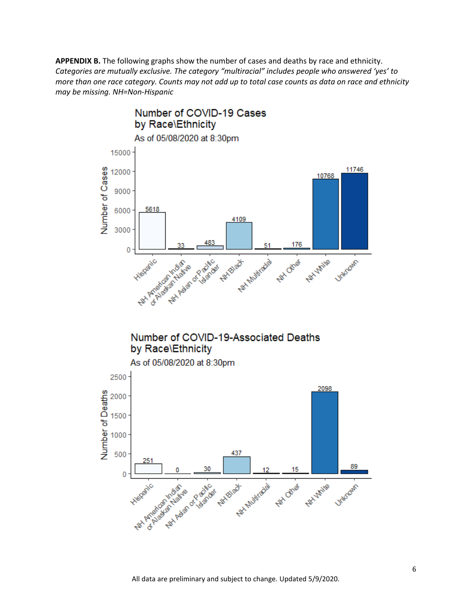**APPENDIX B.** The following graphs show the number of cases and deaths by race and ethnicity. *Categories are mutually exclusive. The category "multiracial" includes people who answered 'yes' to more than one race category. Counts may not add up to total case counts as data on race and ethnicity may be missing. NH=Non-Hispanic*



## Number of COVID-19-Associated Deaths by Race\Ethnicity